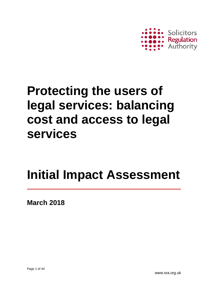

# **Protecting the users of legal services: balancing cost and access to legal services**

# **Initial Impact Assessment**

**March 2018**

www.sra.org.uk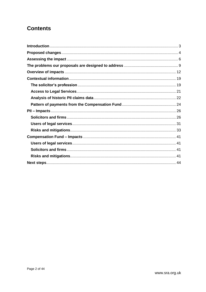### **Contents**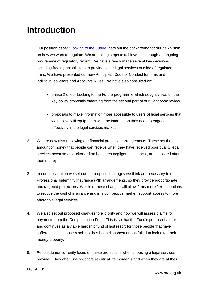# <span id="page-2-0"></span>**Introduction**

- 1. Our position paper ["Looking to the Future"](http://www.sra.org.uk/sra/policy/future/position-paper.page) sets out the background for our new vision on how we want to regulate. We are taking steps to achieve this through an ongoing programme of regulatory reform. We have already made several key decisions including freeing up solicitors to provide some legal services outside of regulated firms. We have presented our new Principles, Code of Conduct for firms and individual solicitors and Accounts Rules. We have also consulted on:
	- phase 2 of our Looking to the Future programme which sought views on the key policy proposals emerging from the second part of our Handbook review
	- proposals to make information more accessible to users of legal services that we believe will equip them with the information they need to engage effectively in the legal services market.
- 2. We are now also reviewing our financial protection arrangements. These set the amount of money that people can receive when they have received poor quality legal services because a solicitor or firm has been negligent, dishonest, or not looked after their money.
- 3. In our consultation we set out the proposed changes we think are necessary to our Professional Indemnity Insurance (PII) arrangements, so they provide proportionate and targeted protections. We think these changes will allow firms more flexible options to reduce the cost of insurance and in a competitive market, support access to more affordable legal services.
- 4. We also set out proposed changes to eligibility and how we will assess claims for payments from the Compensation Fund. This is so that the Fund's purpose is clear and continues as a viable hardship fund of last resort for those people that have suffered loss because a solicitor has been dishonest or has failed to look after their money properly.
- 5. People do not currently focus on these protections when choosing a legal services provider. They often use solicitors at critical life moments and when they are at their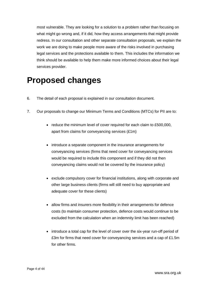most vulnerable. They are looking for a solution to a problem rather than focusing on what might go wrong and, if it did, how they access arrangements that might provide redress. In our consultation and other separate consultation proposals, we explain the work we are doing to make people more aware of the risks involved in purchasing legal services and the protections available to them. This includes the information we think should be available to help them make more informed choices about their legal services provider.

# <span id="page-3-0"></span>**Proposed changes**

- 6. The detail of each proposal is explained in our consultation document.
- 7. Our proposals to change our Minimum Terms and Conditions (MTCs) for PII are to:
	- reduce the minimum level of cover required for each claim to £500,000, apart from claims for conveyancing services (£1m)
	- introduce a separate component in the insurance arrangements for conveyancing services (firms that need cover for conveyancing services would be required to include this component and if they did not then conveyancing claims would not be covered by the insurance policy)
	- exclude compulsory cover for financial institutions, along with corporate and other large business clients (firms will still need to buy appropriate and adequate cover for these clients)
	- allow firms and insurers more flexibility in their arrangements for defence costs (to maintain consumer protection, defence costs would continue to be excluded from the calculation when an indemnity limit has been reached)
	- introduce a total cap for the level of cover over the six-year run-off period of £3m for firms that need cover for conveyancing services and a cap of £1.5m for other firms.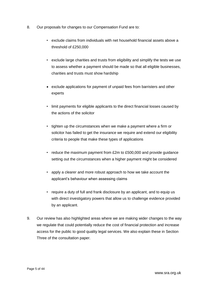- 8. Our proposals for changes to our Compensation Fund are to:
	- exclude claims from individuals with net household financial assets above a threshold of £250,000
	- exclude large charities and trusts from eligibility and simplify the tests we use to assess whether a payment should be made so that all eligible businesses, charities and trusts must show hardship
	- exclude applications for payment of unpaid fees from barristers and other experts
	- limit payments for eligible applicants to the direct financial losses caused by the actions of the solicitor
	- tighten up the circumstances when we make a payment where a firm or solicitor has failed to get the insurance we require and extend our eligibility criteria to people that make these types of applications
	- reduce the maximum payment from £2m to £500,000 and provide guidance setting out the circumstances when a higher payment might be considered
	- apply a clearer and more robust approach to how we take account the applicant's behaviour when assessing claims
	- require a duty of full and frank disclosure by an applicant, and to equip us with direct investigatory powers that allow us to challenge evidence provided by an applicant.
- 9. Our review has also highlighted areas where we are making wider changes to the way we regulate that could potentially reduce the cost of financial protection and increase access for the public to good quality legal services. We also explain these in Section Three of the consultation paper.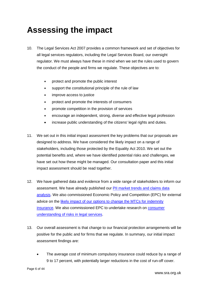# <span id="page-5-0"></span>**Assessing the impact**

- 10. The Legal Services Act 2007 provides a common framework and set of objectives for all legal services regulators, including the Legal Services Board, our oversight regulator. We must always have these in mind when we set the rules used to govern the conduct of the people and firms we regulate. These objectives are to:
	- protect and promote the public interest
	- support the constitutional principle of the rule of law
	- improve access to justice
	- protect and promote the interests of consumers
	- promote competition in the provision of services
	- encourage an independent, strong, diverse and effective legal profession
	- increase public understanding of the citizens' legal rights and duties.
- 11. We set out in this initial impact assessment the key problems that our proposals are designed to address. We have considered the likely impact on a range of stakeholders, including those protected by the Equality Act 2010. We set out the potential benefits and, where we have identified potential risks and challenges, we have set out how these might be managed. Our consultation paper and this initial impact assessment should be read together.
- 12. We have gathered data and evidence from a wide range of stakeholders to inform our assessment. We have already published our [PII market trends and claims data](https://www.sra.org.uk/sra/news/press/pii-trends-published.page)  [analysis.](https://www.sra.org.uk/sra/news/press/pii-trends-published.page) We also commissioned Economic Policy and Competition (EPC) for external advice on the likely impact of our options [to change the MTCs for indemnity](https://www.sra.org.uk/sra/consultations/access-legal-services.page#download)  [insurance.](https://www.sra.org.uk/sra/consultations/access-legal-services.page#download) We also commissioned EPC to undertake research on [consumer](https://www.sra.org.uk/sra/consultations/access-legal-services.page#download)  [understanding of risks](https://www.sra.org.uk/sra/consultations/access-legal-services.page#download) in legal services.
- 13. Our overall assessment is that change to our financial protection arrangements will be positive for the public and for firms that we regulate. In summary, our initial impact assessment findings are:
	- The average cost of minimum compulsory insurance could reduce by a range of 9 to 17 percent, with potentially larger reductions in the cost of run-off cover.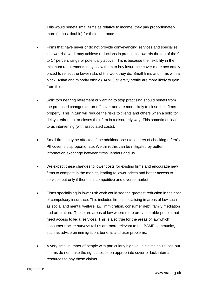This would benefit small firms as relative to income, they pay proportionately more (almost double) for their insurance.

- Firms that have never or do not provide conveyancing services and specialise in lower risk work may achieve reductions in premiums towards the top of the 9 to 17 percent range or potentially above. This is because the flexibility in the minimum requirements may allow them to buy insurance cover more accurately priced to reflect the lower risks of the work they do. Small firms and firms with a black, Asian and minority ethnic (BAME) diversity profile are more likely to gain from this.
- Solicitors nearing retirement or wanting to stop practising should benefit from the proposed changes to run-off cover and are more likely to close their firms properly. This in turn will reduce the risks to clients and others when a solicitor delays retirement or closes their firm in a disorderly way. This sometimes lead to us intervening (with associated costs).
- Small firms may be affected if the additional cost to lenders of checking a firm's PII cover is disproportionate. We think this can be mitigated by better information exchange between firms, lenders and us.
- We expect these changes to lower costs for existing firms and encourage new firms to compete in the market, leading to lower prices and better access to services but only if there is a competitive and diverse market.
- Firms specialising in lower risk work could see the greatest reduction in the cost of compulsory insurance. This includes firms specialising in areas of law such as social and mental welfare law, immigration, consumer debt, family mediation and arbitration. These are areas of law where there are vulnerable people that need access to legal services. This is also true for the areas of law which consumer tracker surveys tell us are more relevant to the BAME community, such as advice on immigration, benefits and user problems.
- A very small number of people with particularly high value claims could lose out if firms do not make the right choices on appropriate cover or lack internal resources to pay these claims.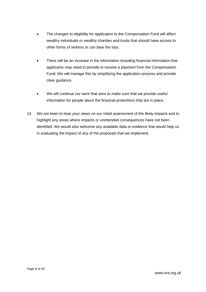- The changes to eligibility for application to the Compensation Fund will affect wealthy individuals or wealthy charities and trusts that should have access to other forms of redress or can bear the loss.
- There will be an increase in the information including financial information that applicants may need to provide to receive a payment from the Compensation Fund. We will manage this by simplifying the application process and provide clear guidance.
- We will continue our work that aims to make sure that we provide useful information for people about the financial protections that are in place.
- 14. We are keen to hear your views on our initial assessment of the likely impacts and to highlight any areas where impacts or unintended consequences have not been identified. We would also welcome any available data or evidence that would help us in evaluating the impact of any of the proposals that we implement.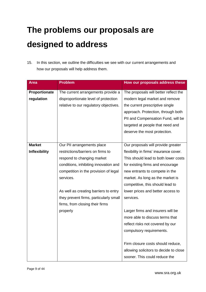# <span id="page-8-0"></span>**The problems our proposals are designed to address**

15. In this section, we outline the difficulties we see with our current arrangements and how our proposals will help address them.

| <b>Area</b>          | <b>Problem</b>                         | How our proposals address these        |
|----------------------|----------------------------------------|----------------------------------------|
|                      |                                        |                                        |
| Proportionate        | The current arrangements provide a     | The proposals will better reflect the  |
| regulation           | disproportionate level of protection   | modern legal market and remove         |
|                      | relative to our regulatory objectives. | the current prescriptive single        |
|                      |                                        | approach. Protection, through both     |
|                      |                                        | PII and Compensation Fund, will be     |
|                      |                                        | targeted at people that need and       |
|                      |                                        | deserve the most protection.           |
|                      |                                        |                                        |
| <b>Market</b>        | Our PII arrangements place             | Our proposals will provide greater     |
| <b>Inflexibility</b> | restrictions/barriers on firms to      | flexibility in firms' insurance cover. |
|                      | respond to changing market             | This should lead to both lower costs   |
|                      | conditions, inhibiting innovation and  | for existing firms and encourage       |
|                      | competition in the provision of legal  | new entrants to compete in the         |
|                      | services.                              | market. As long as the market is       |
|                      |                                        | competitive, this should lead to       |
|                      | As well as creating barriers to entry  | lower prices and better access to      |
|                      | they prevent firms, particularly small | services.                              |
|                      | firms, from closing their firms        |                                        |
|                      | properly                               | Larger firms and insurers will be      |
|                      |                                        | more able to discuss terms that        |
|                      |                                        | reflect risks not covered by our       |
|                      |                                        | compulsory requirements.               |
|                      |                                        |                                        |
|                      |                                        | Firm closure costs should reduce,      |
|                      |                                        | allowing solicitors to decide to close |
|                      |                                        | sooner. This could reduce the          |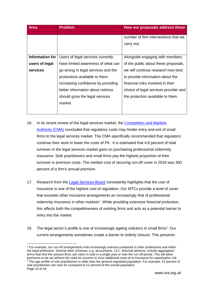| <b>Area</b>     | <b>Problem</b>                     | How our proposals address these                    |
|-----------------|------------------------------------|----------------------------------------------------|
|                 |                                    | number of firm interventions that we<br>carry out. |
| Information for | Users of legal services currently  | Alongside engaging with members                    |
| users of legal  | have limited awareness of what can | of the public about these proposals,               |
| services        | go wrong in legal services and the | we will continue research how best                 |
|                 | protections available to them.     | to provide information about the                   |
|                 | Increasing confidence by providing | financial risks involved in their                  |
|                 | better information about redress   | choice of legal services provider and              |
|                 | should grow the legal services     | the protection available to them.                  |
|                 | market                             |                                                    |
|                 |                                    |                                                    |

- 16. In its recent review of the legal services market, the Competition and Markets [Authority \(CMA\)](https://www.gov.uk/cma-cases/legal-services-market-study) concluded that regulatory costs may hinder entry and exit of small firms to the legal services market. The CMA specifically recommended that regulators continue their work to lower the costs of PII. It is estimated that 4.8 percent of total turnover in the legal services market goes on purchasing professional indemnity insurance. Sole practitioners and small firms pay the highest proportion of their turnover in premium costs. The median cost of securing run-off cover in 2016 was 300 percent of a firm's annual premium.
- 17. Research from the [Legal Services Board](http://www.legalservicesboard.org.uk/news_publications/LSB_news/PDF/2016/20160524_The_Cost_Of_Regulation_Improving_Transparency_And_Awareness.html) consistently highlights that the cost of insurance is one of the highest cost of regulation. Our MTCs provide a level of cover that exceeds other insurance arrangements an increasingly that of professional indemnity insurance in other markets<sup>1</sup>. While providing extensive financial protection, this affects both the competitiveness of existing firms and acts as a potential barrier to entry into the market.
- 18. The legal sector's profile is one of increasingly ageing solicitors in small firms<sup>2</sup>. Our current arrangements sometimes create a barrier to orderly closure. This presents

-

<sup>&</sup>lt;sup>1</sup> For example, our run-off arrangements look increasingly onerous compared to other professions and within the legal profession. Several other schemes, e.g. accountants, CLC, financial advisors, include aggregation terms that limit the amount firms can claim in total in a single year or over the run-off period. This will allow premiums to be set without the need for insurers to incur additional costs of re-insurance for catastrophic risk. <sup>2</sup> The age profile of sole practitioners is older than the general regulated population. For example, 51 percent of sole practitioners are over 55 compared to 21 percent of the overall population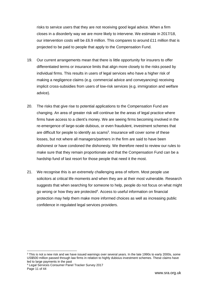risks to service users that they are not receiving good legal advice. When a firm closes in a disorderly way we are more likely to intervene. We estimate in 2017/18, our intervention costs will be £6.9 million. This compares to around £11 million that is projected to be paid to people that apply to the Compensation Fund.

- 19. Our current arrangements mean that there is little opportunity for insurers to offer differentiated terms or insurance limits that align more closely to the risks posed by individual firms. This results in users of legal services who have a higher risk of making a negligence claims (e.g. commercial advice and conveyancing) receiving implicit cross-subsidies from users of low-risk services (e.g. immigration and welfare advice).
- 20. The risks that give rise to potential applications to the Compensation Fund are changing. An area of greater risk will continue be the areas of legal practice where firms have access to a client's money. We are seeing firms becoming involved in the re-emergence of large-scale dubious, or even fraudulent, investment schemes that are difficult for people to identify as scams<sup>3</sup>. Insurance will cover some of these losses, but not where all managers/partners in the firm are said to have been dishonest or have condoned the dishonesty. We therefore need to review our rules to make sure that they remain proportionate and that the Compensation Fund can be a hardship fund of last resort for those people that need it the most.
- 21. We recognise this is an extremely challenging area of reform. Most people use solicitors at critical life moments and when they are at their most vulnerable. Research suggests that when searching for someone to help, people do not focus on what might go wrong or how they are protected<sup>4</sup>. Access to useful information on financial protection may help them make more informed choices as well as increasing public confidence in regulated legal services providers.

 $\overline{a}$ 

<sup>&</sup>lt;sup>3</sup> This is not a new risk and we have issued warnings over several years. In the late 1990s to early 2000s, some US\$500 million passed through law firms in relation to highly dubious investment schemes. These claims have led to large payments in the past

Page 11 of 44 <sup>4</sup> Legal Services Consumer Panel Tracker Survey 2017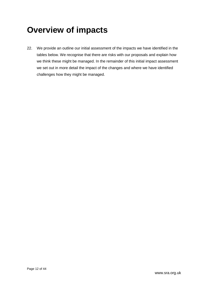# <span id="page-11-0"></span>**Overview of impacts**

22. We provide an outline our initial assessment of the impacts we have identified in the tables below. We recognise that there are risks with our proposals and explain how we think these might be managed. In the remainder of this initial impact assessment we set out in more detail the impact of the changes and where we have identified challenges how they might be managed.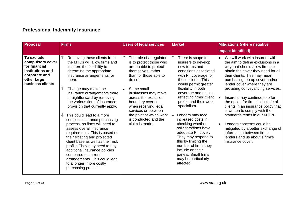### **Professional Indemnity Insurance**

| <b>Proposal</b>                                                                                                         | <b>Firms</b>                                                                                                                                                                                                                                                                                                                                                                                                                                                                                                                                                                                                                                                                                                                             | <b>Users of legal services</b>                                                                                                                                                                                                                                                                                                                             | <b>Market</b>                                                                                                                                                                                                                                                                                                                                                                                                                                                                                                                                             | <b>Mitigations (where negative</b>                                                                                                                                                                                                                                                                                                                                                                                                                                                                                                                                                                                                   |
|-------------------------------------------------------------------------------------------------------------------------|------------------------------------------------------------------------------------------------------------------------------------------------------------------------------------------------------------------------------------------------------------------------------------------------------------------------------------------------------------------------------------------------------------------------------------------------------------------------------------------------------------------------------------------------------------------------------------------------------------------------------------------------------------------------------------------------------------------------------------------|------------------------------------------------------------------------------------------------------------------------------------------------------------------------------------------------------------------------------------------------------------------------------------------------------------------------------------------------------------|-----------------------------------------------------------------------------------------------------------------------------------------------------------------------------------------------------------------------------------------------------------------------------------------------------------------------------------------------------------------------------------------------------------------------------------------------------------------------------------------------------------------------------------------------------------|--------------------------------------------------------------------------------------------------------------------------------------------------------------------------------------------------------------------------------------------------------------------------------------------------------------------------------------------------------------------------------------------------------------------------------------------------------------------------------------------------------------------------------------------------------------------------------------------------------------------------------------|
|                                                                                                                         |                                                                                                                                                                                                                                                                                                                                                                                                                                                                                                                                                                                                                                                                                                                                          |                                                                                                                                                                                                                                                                                                                                                            |                                                                                                                                                                                                                                                                                                                                                                                                                                                                                                                                                           | impact identified)                                                                                                                                                                                                                                                                                                                                                                                                                                                                                                                                                                                                                   |
| To exclude<br>compulsory cover<br>for financial<br>institutions and<br>corporate and<br>other large<br>business clients | Removing these clients from<br>the MTCs will allow firms and<br>insurers the flexibility to<br>determine the appropriate<br>insurance arrangements for<br>them.<br>Change may make the<br>insurance arrangements more<br>straightforward by removing<br>the various tiers of insurance<br>provision that currently apply.<br>This could lead to a more<br>complex insurance purchasing<br>process, as firms will need to<br>assess overall insurance<br>requirements. This is based on<br>their existing and projected<br>client base as well as their risk<br>profile. They may need to buy<br>additional insurance policies<br>compared to current<br>arrangements. This could lead<br>to a longer, more costly<br>purchasing process. | $\uparrow$<br>The role of a regulator<br>is to protect those who<br>are unable to protect<br>themselves, rather<br>than for those able to<br>do so.<br>Some small<br>businesses may move<br>across the exclusion<br>boundary over time<br>when receiving legal<br>services or between<br>the point at which work<br>is conducted and the<br>claim is made. | There is scope for<br>insurers to develop<br>new terms and<br>conditions associated<br>with PII coverage for<br>these clients. This<br>would permit greater<br>flexibility in both<br>coverage and pricing,<br>reflecting firms' client<br>profile and their work<br>specialism.<br>Lenders may face<br>↓<br>increased costs in<br>checking whether<br>solicitors/firms have<br>adequate PII cover.<br>They may respond to<br>this by limiting the<br>number of firms they<br>include on their<br>panels. Small firms<br>may be particularly<br>affected. | We will work with insurers with<br>the aim to define exclusions in a<br>way that should allow firms to<br>obtain the cover they need for all<br>their clients. This may mean<br>purchasing top up cover and/or<br>lender cover where they are<br>providing conveyancing services.<br>Insurers may continue to offer<br>the option for firms to include all<br>clients in an insurance policy that<br>is written to comply with the<br>standards terms in our MTCs.<br>Lenders concerns could be<br>$\bullet$<br>mitigated by a better exchange of<br>information between firms,<br>lenders and us about a firm's<br>insurance cover. |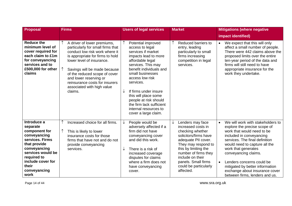| <b>Proposal</b>                                                                                                                                                                                       | <b>Firms</b>                                                                                                                                                                                                                                                                                                                              | <b>Users of legal services</b>                                                                                                                                                                                                                                                                                                                                           | <b>Market</b>                                                                                                                                                                                                                                                                      | <b>Mitigations (where negative</b>                                                                                                                                                                                                                                                                                                                                                                          |
|-------------------------------------------------------------------------------------------------------------------------------------------------------------------------------------------------------|-------------------------------------------------------------------------------------------------------------------------------------------------------------------------------------------------------------------------------------------------------------------------------------------------------------------------------------------|--------------------------------------------------------------------------------------------------------------------------------------------------------------------------------------------------------------------------------------------------------------------------------------------------------------------------------------------------------------------------|------------------------------------------------------------------------------------------------------------------------------------------------------------------------------------------------------------------------------------------------------------------------------------|-------------------------------------------------------------------------------------------------------------------------------------------------------------------------------------------------------------------------------------------------------------------------------------------------------------------------------------------------------------------------------------------------------------|
|                                                                                                                                                                                                       |                                                                                                                                                                                                                                                                                                                                           |                                                                                                                                                                                                                                                                                                                                                                          |                                                                                                                                                                                                                                                                                    | impact identified)                                                                                                                                                                                                                                                                                                                                                                                          |
| <b>Reduce the</b><br>minimum level of<br>cover required for<br>each claim to £1m<br>for conveyancing<br>services and to<br>£500,000 for other<br>claims                                               | A driver of lower premiums,<br>particularly for small firms that<br>conduct low risk work where it<br>is appropriate for firms to hold<br>lower level of insurance.<br>Savings will be made because<br>of the reduced scope of cover<br>and lower reserving or<br>reinsurance costs for insurers<br>associated with high value<br>claims. | Potential improved<br>access to legal<br>services if market<br>impacts lead to more<br>affordable legal<br>services. This may<br>benefit individuals and<br>small businesses<br>access low risk<br>services.<br>If firms under insure<br>↓<br>this will place some<br>people at risk should<br>the firm lack sufficient<br>internal resources to<br>cover a large claim. | Reduced barriers to<br>entry, leading<br>particularly to small<br>firms increasing<br>competition in legal<br>services.                                                                                                                                                            | We expect that this will only<br>$\bullet$<br>affect a small number of people.<br>There were 442 claims above the<br>proposed limits over the entire<br>ten-year period of the data and<br>firms will still need to have<br>appropriate insurance for the<br>work they undertake.                                                                                                                           |
| Introduce a<br>separate<br>component for<br>conveyancing<br>services. Firms<br>that provide<br>conveyancing<br>services would be<br>required to<br>include cover for<br>their<br>conveyancing<br>work | Increased choice for all firms.<br>This is likely to lower<br>insurance costs for those<br>firms that have not and do not<br>provide conveyancing<br>services.                                                                                                                                                                            | People would be<br>↓<br>adversely affected if a<br>firm did not have<br>conveyancing cover<br>and did this work.<br>There is a risk of<br>$\downarrow$<br>increased coverage<br>disputes for claims<br>where a firm does not<br>have conveyancing<br>cover.                                                                                                              | Lenders may face<br>$\downarrow$<br>increased costs in<br>checking whether<br>solicitors/firms have<br>adequate PII cover.<br>They may respond to<br>this by limiting the<br>number of firms they<br>include on their<br>panels. Small firms<br>could be particularly<br>affected. | We will work with stakeholders to<br>$\bullet$<br>explore the precise scope of<br>work that would need to be<br>included in conveyancing<br>services. The final definition<br>would need to capture all the<br>work that generates<br>conveyancing claims.<br>Lenders concerns could be<br>$\bullet$<br>mitigated by better information<br>exchange about insurance cover<br>between firms, lenders and us. |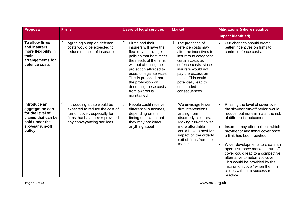| Proposal                                                                                                                  | <b>Firms</b>                                                                                                                                                  | <b>Users of legal services</b>                                                                                                                                                                                                                                                                                    | <b>Market</b>                                                                                                                                                                                                                                                    | <b>Mitigations (where negative</b>                                                                                                                                                                                                                                                                                                                                                                                                                                                                                                                    |
|---------------------------------------------------------------------------------------------------------------------------|---------------------------------------------------------------------------------------------------------------------------------------------------------------|-------------------------------------------------------------------------------------------------------------------------------------------------------------------------------------------------------------------------------------------------------------------------------------------------------------------|------------------------------------------------------------------------------------------------------------------------------------------------------------------------------------------------------------------------------------------------------------------|-------------------------------------------------------------------------------------------------------------------------------------------------------------------------------------------------------------------------------------------------------------------------------------------------------------------------------------------------------------------------------------------------------------------------------------------------------------------------------------------------------------------------------------------------------|
|                                                                                                                           |                                                                                                                                                               |                                                                                                                                                                                                                                                                                                                   |                                                                                                                                                                                                                                                                  | impact identified)                                                                                                                                                                                                                                                                                                                                                                                                                                                                                                                                    |
| To allow firms<br>and insurers<br>more flexibility in<br>their<br>arrangements for<br>defence costs                       | Agreeing a cap on defence<br>costs would be expected to<br>reduce the cost of insurance.                                                                      | Firms and their<br>insurers will have the<br>flexibility to arrange<br>policies that best meet<br>the needs of the firms,<br>without affecting the<br>protection afforded to<br>users of legal services.<br>This is provided that<br>the prohibition on<br>deducting these costs<br>from awards is<br>maintained. | The presence of<br>↓<br>defence costs may<br>alter the incentives to<br>insurers to categorise<br>certain costs as<br>defence costs, since<br>insurers would not<br>pay the excess on<br>these. This could<br>potentially lead to<br>unintended<br>consequences. | Our changes should create<br>$\bullet$<br>better incentives on firms to<br>control defence costs.                                                                                                                                                                                                                                                                                                                                                                                                                                                     |
| Introduce an<br>aggregation cap<br>for the level of<br>claims that can be<br>paid under the<br>six-year run-off<br>policy | Introducing a cap would be<br>expected to reduce the cost of<br>run-off cover, especially for<br>firms that have never provided<br>any conveyancing services. | People could receive<br>differential outcomes,<br>depending on the<br>timing of a claim that<br>they may not know<br>anything about                                                                                                                                                                               | We envisage fewer<br>firm interventions<br>arising from<br>disorderly closures.<br>Making run-off cover<br>more affordable<br>could have a positive<br>impact on the orderly<br>exit of firms from the<br>market                                                 | Phasing the level of cover over<br>$\bullet$<br>the six-year run-off period would<br>reduce, but not eliminate, the risk<br>of differential outcomes.<br>Insurers may offer policies which<br>$\bullet$<br>provide for additional cover once<br>a limit has been reached.<br>Wider developments to create an<br>$\bullet$<br>open insurance market in run-off<br>cover could lead to a competitive<br>alternative to automatic cover.<br>This would be provided by the<br>insurer 'on cover' when the firm<br>closes without a successor<br>practice. |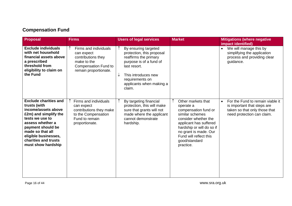### **Compensation Fund**

| <b>Proposal</b>                                                                                                                                                                                                                                    | <b>Firms</b>                                                                                                              | <b>Users of legal services</b>                                                                                                                                                                                        | <b>Market</b>                                                                                                                                                                                                                              | <b>Mitigations (where negative</b><br>impact identified)                                                                                    |
|----------------------------------------------------------------------------------------------------------------------------------------------------------------------------------------------------------------------------------------------------|---------------------------------------------------------------------------------------------------------------------------|-----------------------------------------------------------------------------------------------------------------------------------------------------------------------------------------------------------------------|--------------------------------------------------------------------------------------------------------------------------------------------------------------------------------------------------------------------------------------------|---------------------------------------------------------------------------------------------------------------------------------------------|
| <b>Exclude individuals</b><br>with net household<br>financial assets above<br>a prescribed<br>threshold from<br>eligibility to claim on<br>the Fund                                                                                                | Firms and individuals<br>can expect<br>contributions they<br>make to the<br>Compensation Fund to<br>remain proportionate. | By ensuring targeted<br>protection, this proposal<br>reaffirms the primary<br>purpose is of a fund of<br>last resort.<br>$\downarrow$<br>This introduces new<br>requirements on<br>applicants when making a<br>claim. |                                                                                                                                                                                                                                            | We will manage this by<br>$\bullet$<br>simplifying the application<br>process and providing clear<br>guidance.                              |
| <b>Exclude charities and</b><br>trusts (with<br>income/assets above<br>£2m) and simplify the<br>tests we use to<br>assess whether a<br>payment should be<br>made so that all<br>eligible businesses,<br>charities and trusts<br>must show hardship | Firms and individuals<br>can expect<br>contributions they make<br>to the Compensation<br>Fund to remain<br>proportionate. | By targeting financial<br>protection, this will make<br>sure that grants will not<br>made where the applicant<br>cannot demonstrate<br>hardship.                                                                      | Other markets that<br>operate a<br>compensation fund or<br>similar schemes<br>consider whether the<br>applicant has suffered<br>hardship or will do so if<br>no grant is made. Our<br>Fund will reflect this<br>good/standard<br>practice. | For the Fund to remain viable it<br>$\bullet$<br>is important that steps are<br>taken so that only those that<br>need protection can claim. |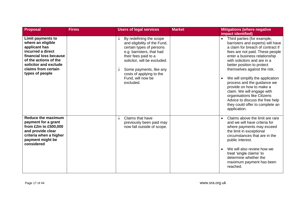| <b>Proposal</b>                                                                                                                                                                                           | <b>Firms</b> | <b>Users of legal services</b>                                                                                                                                                                                                                                    | <b>Market</b> | <b>Mitigations (where negative</b><br>impact identified)                                                                                                                                                                                                                                                                                                                                                                                                                                                                               |
|-----------------------------------------------------------------------------------------------------------------------------------------------------------------------------------------------------------|--------------|-------------------------------------------------------------------------------------------------------------------------------------------------------------------------------------------------------------------------------------------------------------------|---------------|----------------------------------------------------------------------------------------------------------------------------------------------------------------------------------------------------------------------------------------------------------------------------------------------------------------------------------------------------------------------------------------------------------------------------------------------------------------------------------------------------------------------------------------|
| <b>Limit payments to</b><br>where an eligible<br>applicant has<br>incurred a direct<br>financial loss because<br>of the actions of the<br>solicitor and exclude<br>claims from certain<br>types of people |              | By redefining the scope<br>and eligibility of the Fund,<br>certain types of persons<br>e.g. barristers, that had<br>their fees paid to a<br>solicitor, will be excluded.<br>Some payments, like any<br>costs of applying to the<br>Fund, will now be<br>excluded. |               | Third parties (for example,<br>$\bullet$<br>barristers and experts) will have<br>a claim for breach of contract if<br>fees are not paid. These people<br>enter a business relationship<br>with solicitors and are in a<br>better position to protect<br>themselves against the risk.<br>We will simplify the application<br>process and the guidance we<br>provide on how to make a<br>claim. We will engage with<br>organisations like Citizens<br>Advice to discuss the free help<br>they could offer to complete an<br>application. |
| <b>Reduce the maximum</b><br>payment for a grant<br>from £2m to £500,000<br>and provide clear<br>criteria when a higher<br>payment might be<br>considered                                                 |              | Claims that have<br>previously been paid may<br>now fall outside of scope.                                                                                                                                                                                        |               | Claims above the limit are rare<br>$\bullet$<br>and we will have criteria for<br>where payments may exceed<br>the limit in exceptional<br>circumstances that are in the<br>public interest.<br>We will also review how we<br>treat 'single claims' to<br>determine whether the<br>maximum payment has been<br>reached.                                                                                                                                                                                                                 |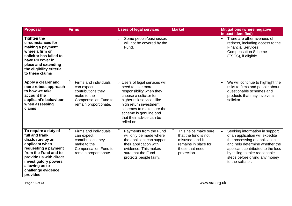| <b>Proposal</b>                                                                                                                                                                                                                    | <b>Firms</b>                                                                                                                     | <b>Users of legal services</b>                                                                                                                                                                                                                                             | <b>Market</b>                                                                                                             | <b>Mitigations (where negative</b><br>impact identified)                                                                                                                                                                                                          |
|------------------------------------------------------------------------------------------------------------------------------------------------------------------------------------------------------------------------------------|----------------------------------------------------------------------------------------------------------------------------------|----------------------------------------------------------------------------------------------------------------------------------------------------------------------------------------------------------------------------------------------------------------------------|---------------------------------------------------------------------------------------------------------------------------|-------------------------------------------------------------------------------------------------------------------------------------------------------------------------------------------------------------------------------------------------------------------|
| <b>Tighten the</b><br>circumstances for<br>making a payment<br>where a firm or<br>solicitor has failed to<br>have PII cover in<br>place and extending<br>the eligibility criteria<br>to these claims                               |                                                                                                                                  | Some people/businesses<br>↓<br>will not be covered by the<br>Fund.                                                                                                                                                                                                         |                                                                                                                           | There are other avenues of<br>redress, including access to the<br><b>Financial Services</b><br><b>Compensation Scheme</b><br>(FSCS), if eligible.                                                                                                                 |
| Apply a clearer and<br>more robust approach<br>to how we take<br>account the<br>applicant's behaviour<br>when assessing<br>claims                                                                                                  | Firms and individuals<br>can expect<br>contributions they<br>make to the<br><b>Compensation Fund to</b><br>remain proportionate. | $\downarrow$ Users of legal services will<br>need to take more<br>responsibility when they<br>choose a solicitor for<br>higher risk services like<br>high return investment<br>schemes to make sure the<br>scheme is genuine and<br>that their advice can be<br>relied on. |                                                                                                                           | We will continue to highlight the<br>risks to firms and people about<br>questionable schemes and<br>products that may involve a<br>solicitor.                                                                                                                     |
| To require a duty of<br>full and frank<br>disclosure by an<br>applicant when<br>requesting a payment<br>from the Fund and to<br>provide us with direct<br>investigatory powers<br>allowing us to<br>challenge evidence<br>provided | Firms and individuals<br>can expect<br>contributions they<br>make to the<br><b>Compensation Fund to</b><br>remain proportionate. | Payments from the Fund<br>will only be made where<br>the applicant can support<br>their application with<br>evidence. This makes<br>sure that the Fund<br>protects people fairly.                                                                                          | This helps make sure<br>that the fund is not<br>misused, and it<br>remains in place for<br>those that need<br>protection. | Seeking information in support<br>of an application will expedite<br>the processing of applications<br>and help determine whether the<br>applicant contributed to the loss<br>by failing to take reasonable<br>steps before giving any money<br>to the solicitor. |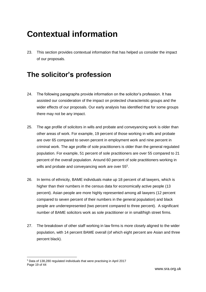# <span id="page-18-0"></span>**Contextual information**

23. This section provides contextual information that has helped us consider the impact of our proposals.

### <span id="page-18-1"></span>**The solicitor's profession**

- 24. The following paragraphs provide information on the solicitor's profession. It has assisted our consideration of the impact on protected characteristic groups and the wider effects of our proposals. Our early analysis has identified that for some groups there may not be any impact.
- 25. The age profile of solicitors in wills and probate and conveyancing work is older than other areas of work. For example, 19 percent of those working in wills and probate are over 65 compared to seven percent in employment work and nine percent in criminal work. The age profile of sole practitioners is older than the general regulated population. For example, 51 percent of sole practitioners are over 55 compared to 21 percent of the overall population. Around 60 percent of sole practitioners working in wills and probate and conveyancing work are over 55<sup>5</sup>.
- 26. In terms of ethnicity, BAME individuals make up 18 percent of all lawyers, which is higher than their numbers in the census data for economically active people (13 percent). Asian people are more highly represented among all lawyers (12 percent compared to seven percent of their numbers in the general population) and black people are underrepresented (two percent compared to three percent). A significant number of BAME solicitors work as sole practitioner or in small/high street firms.
- 27. The breakdown of other staff working in law firms is more closely aligned to the wider population, with 14 percent BAME overall (of which eight percent are Asian and three percent black).

-

Page 19 of 44 <sup>5</sup> Data of 138,280 regulated individuals that were practising in April 2017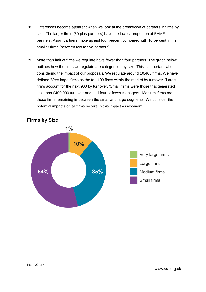- 28. Differences become apparent when we look at the breakdown of partners in firms by size. The larger firms (50 plus partners) have the lowest proportion of BAME partners. Asian partners make up just four percent compared with 16 percent in the smaller firms (between two to five partners).
- 29. More than half of firms we regulate have fewer than four partners. The graph below outlines how the firms we regulate are categorised by size. This is important when considering the impact of our proposals. We regulate around 10,400 firms. We have defined 'Very large' firms as the top 100 firms within the market by turnover. 'Large' firms account for the next 900 by turnover. 'Small' firms were those that generated less than £400,000 turnover and had four or fewer managers. 'Medium' firms are those firms remaining in-between the small and large segments. We consider the potential impacts on all firms by size in this impact assessment.



#### **Firms by Size**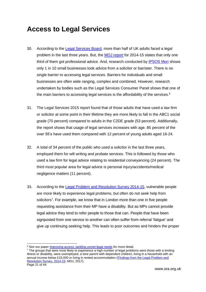## <span id="page-20-0"></span>**Access to Legal Services**

- 30. According to the [Legal Services Board,](https://research.legalservicesboard.org.uk/reports/consumers-unmet-legal-needs/) more than half of UK adults faced a legal problem in the last three years. But, the [MOJ report](https://www.gov.uk/government/publications/legal-problem-and-resolution-survey-2014-to-2015) for 2014-15 states that only one third of them got professional advice. And, research conducted by [IPSOS Mori](http://www.lawsociety.org.uk/support-services/research-trends/largest-ever-legal-needs-survey-in-england-and-wales/) shows only 1 in 10 small businesses took advice from a solicitor or barrister. There is no single barrier to accessing legal services. Barriers for individuals and small businesses are often wide ranging, complex and combined. However, research undertaken by bodies such as the Legal Services Consumer Panel shows that one of the main barriers to accessing legal services is the affordability of the services.<sup>6</sup>
- 31. The Legal Services 2015 report found that of those adults that have used a law firm or solicitor at some point in their lifetime they are more likely to fall in the ABC1 social grade (70 percent) compared to adults in the C2DE grade (53 percent). Additionally, the report shows that usage of legal services increases with age. 85 percent of the over 55's have used them compared with 12 percent of young adults aged 16-24.
- 32. A total of 34 percent of the public who used a solicitor in the last three years, employed them for will writing and probate services. This is followed by those who used a law firm for legal advice relating to residential conveyancing (24 percent). The third most popular area for legal advice is personal injury/accidents/medical negligence matters (11 percent).
- 33. According to the [Legal Problem and Resolution Survey 2014-15,](https://www.gov.uk/government/publications/legal-problem-and-resolution-survey-2014-to-2015) vulnerable people are more likely to experience legal problems, but often do not seek help from solicitors<sup>7</sup>. For example, we know that in London more than one in five people requesting assistance from their MP have a disability. But as MPs cannot provide legal advice they tend to refer people to those that can. People that have been signposted from one service to another can often suffer from referral 'fatigue' and give up continuing seeking help. This leads to poor outcomes and hinders the proper

<sup>-</sup><sup>6</sup> See our paper *Improving access: tackling unmet legal needs* for more detail.

<sup>7</sup> The groups that were most likely to experience a high number of legal problems were those with a limiting illness or disability, were unemployed, a lone parent with dependent children, living in a household with an annual income below £15,000 or living in rented accommodation (Findings from the Legal Problem and [Resolution Survey, 2014-15;](https://www.gov.uk/government/publications/legal-problem-and-resolution-survey-2014-to-2015) MOJ, 2017).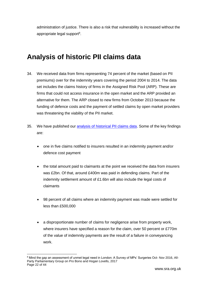administration of justice. There is also a risk that vulnerability is increased without the appropriate legal support<sup>8</sup>.

## <span id="page-21-0"></span>**Analysis of historic PII claims data**

- 34. We received data from firms representing 74 percent of the market (based on PII premiums) over for the indemnity years covering the period 2004 to 2014. The data set includes the claims history of firms in the Assigned Risk Pool (ARP). These are firms that could not access insurance in the open market and the ARP provided an alternative for them. The ARP closed to new firms from October 2013 because the funding of defence costs and the payment of settled claims by open market providers was threatening the viability of the PII market.
- 35. We have published our [analysis of historical PII claims data.](http://www.sra.org.uk/solicitors/colp-cofa/resources/colp-cofa-conference-2016.page#pii) Some of the key findings are:
	- one in five claims notified to insurers resulted in an indemnity payment and/or defence cost payment
	- the total amount paid to claimants at the point we received the data from insurers was £2bn. Of that, around £400m was paid in defending claims. Part of the indemnity settlement amount of £1.6bn will also include the legal costs of claimants
	- 98 percent of all claims where an indemnity payment was made were settled for less than £500,000
	- a disproportionate number of claims for negligence arise from property work, where insurers have specified a reason for the claim, over 50 percent or £770m of the value of indemnity payments are the result of a failure in conveyancing work.

Page 22 of 44 -<sup>8</sup> Mind the gap an assessment of unmet legal need in London: A Survey of MPs' Surgeries Oct- Nov 2016, All-Party Parliamentary Group on Pro Bono and Hogan Lovells, 2017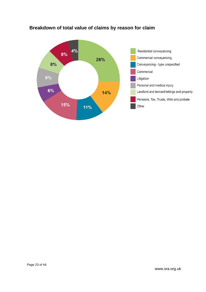

#### **Breakdown of total value of claims by reason for claim**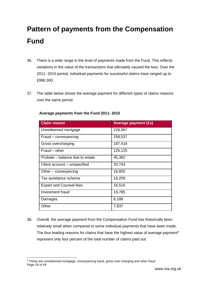# <span id="page-23-0"></span>**Pattern of payments from the Compensation Fund**

- 36. There is a wide range in the level of payments made from the Fund. This reflects variations in the value of the transactions that ultimately caused the loss. Over the 2011- 2015 period, individual payments for successful claims have ranged up to £990,300.
- 37. The table below shows the average payment for different types of claims reasons over the same period.

| <b>Claim reason</b>             | <b>Average payment (£s)</b> |
|---------------------------------|-----------------------------|
| Unredeemed mortgage             | 228,967                     |
| Fraud – conveyancing            | 258,537                     |
| Gross overcharging              | 187,416                     |
| Fraud – other                   | 125,125                     |
| Probate – balance due to estate | 45,362                      |
| Client account – unspecified    | 33,743                      |
| Other – conveyancing            | 16,855                      |
| Tax avoidance scheme            | 18,259                      |
| <b>Expert and Counsel fees</b>  | 16,516                      |
| Investment fraud                | 19,785                      |
| Damages                         | 8,188                       |
| Other                           | 7,837                       |

#### **Average payments from the Fund 2011- 2015**

38. Overall, the average payment from the Compensation Fund has historically been relatively small when compared to some individual payments that have been made. The four leading reasons for claims that have the highest value of average payment<sup>9</sup> represent only four percent of the total number of claims paid out.

Page 24 of 44 -<sup>9</sup> These are unredeemed mortgage, conveyancing fraud, gross over-charging and other fraud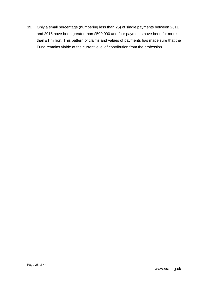39. Only a small percentage (numbering less than 25) of single payments between 2011 and 2015 have been greater than £500,000 and four payments have been for more than £1 million. This pattern of claims and values of payments has made sure that the Fund remains viable at the current level of contribution from the profession.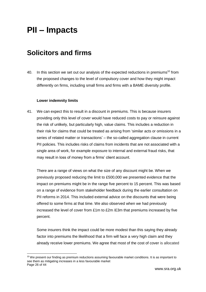# <span id="page-25-0"></span>**PII – Impacts**

### <span id="page-25-1"></span>**Solicitors and firms**

40. In this section we set out our analysis of the expected reductions in premiums<sup>10</sup> from the proposed changes to the level of compulsory cover and how they might impact differently on firms, including small firms and firms with a BAME diversity profile.

#### **Lower indemnity limits**

-

41. We can expect this to result in a discount in premiums. This is because insurers providing only this level of cover would have reduced costs to pay or reinsure against the risk of unlikely, but particularly high, value claims. This includes a reduction in their risk for claims that could be treated as arising from 'similar acts or omissions in a series of related matter or transactions' – the so-called aggregation clause in current PII policies. This includes risks of claims from incidents that are not associated with a single area of work, for example exposure to internal and external fraud risks, that may result in loss of money from a firms' client account.

There are a range of views on what the size of any discount might be. When we previously proposed reducing the limit to £500,000 we presented evidence that the impact on premiums might be in the range five percent to 15 percent. This was based on a range of evidence from stakeholder feedback during the earlier consultation on PII reforms in 2014. This included external advice on the discounts that were being offered to some firms at that time. We also observed when we had previously increased the level of cover from £1m to £2m /£3m that premiums increased by five percent.

Some insurers think the impact could be more modest than this saying they already factor into premiums the likelihood that a firm will face a very high claim and they already receive lower premiums. We agree that most of the cost of cover is allocated

Page 26 of 44 <sup>10</sup> We present our finding as premium reductions assuming favourable market conditions. It is as important to see them as mitigating increases in a less favourable market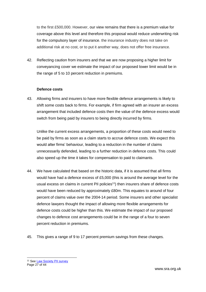to the first £500,000. However, our view remains that there is a premium value for coverage above this level and therefore this proposal would reduce underwriting risk for the compulsory layer of insurance. the insurance industry does not take on additional risk at no cost, or to put it another way, does not offer free insurance.

42. Reflecting caution from insurers and that we are now proposing a higher limit for conveyancing cover we estimate the impact of our proposed lower limit would be in the range of 5 to 10 percent reduction in premiums.

#### **Defence costs**

43. Allowing firms and insurers to have more flexible defence arrangements is likely to shift some costs back to firms. For example, if firm agreed with an insurer an excess arrangement that included defence costs then the value of the defence excess would switch from being paid by insurers to being directly incurred by firms.

Unlike the current excess arrangements, a proportion of these costs would need to be paid by firms as soon as a claim starts to accrue defence costs. We expect this would alter firms' behaviour, leading to a reduction in the number of claims unnecessarily defended, leading to a further reduction in defence costs. This could also speed up the time it takes for compensation to paid to claimants.

- 44. We have calculated that based on the historic data, if it is assumed that all firms would have had a defence excess of £5,000 (this is around the average level for the usual excess on claims in current PII policies<sup>11</sup>) then insurers share of defence costs would have been reduced by approximately £80m. This equates to around of four percent of claims value over the 2004-14 period. Some insurers and other specialist defence lawyers thought the impact of allowing more flexible arrangements for defence costs could be higher than this. We estimate the impact of our proposed changes to defence cost arrangements could be in the range of a four to seven percent reduction in premiums.
- 45. This gives a range of 9 to 17 percent premium savings from these changes.

-

Page 27 of 44 <sup>11</sup> Se[e Law Society PII survey](http://www.lawsociety.org.uk/support-services/risk-compliance/pii/surveys/)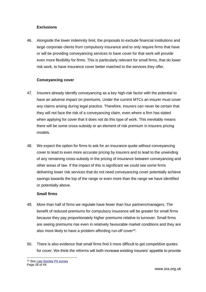#### **Exclusions**

46. Alongside the lower indemnity limit, the proposals to exclude financial institutions and large corporate clients from compulsory insurance and to only require firms that have or will be providing conveyancing services to have cover for that work will provide even more flexibility for firms. This is particularly relevant for small firms, that do lower risk work, to have insurance cover better matched to the services they offer.

#### **Conveyancing cover**

- 47. Insurers already identify conveyancing as a key high-risk factor with the potential to have an adverse impact on premiums. Under the current MTCs an insurer must cover any claims arising during legal practice. Therefore, insurers can never be certain that they will not face the risk of a conveyancing claim, even where a firm has stated when applying for cover that it does not do this type of work. This inevitably means there will be some cross-subsidy or an element of risk premium in insurers pricing models.
- 48. We expect the option for firms to ask for an insurance quote without conveyancing cover to lead to even more accurate pricing by insurers and to lead to the unwinding of any remaining cross-subsidy in the pricing of insurance between conveyancing and other areas of law. If the impact of this is significant we could see some firms delivering lower risk services that do not need conveyancing cover potentially achieve savings towards the top of the range or even more than the range we have identified or potentially above.

#### **Small firms**

- 49. More than half of firms we regulate have fewer than four partners/managers. The benefit of reduced premiums for compulsory insurance will be greater for small firms because they pay proportionately higher premiums relative to turnover. Small firms are seeing premiums rise even in relatively favourable market conditions and they are also more likely to have a problem affording run-off cover<sup>12</sup>.
- 50. There is also evidence that small firms find it more difficult to get competitive quotes for cover. We think the reforms will both increase existing insurers' appetite to provide

Page 28 of 44 <sup>12</sup> Se[e Law Society PII survey](http://www.lawsociety.org.uk/support-services/risk-compliance/pii/surveys/)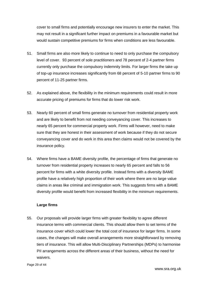cover to small firms and potentially encourage new insurers to enter the market. This may not result in a significant further impact on premiums in a favourable market but would sustain competitive premiums for firms when conditions are less favourable.

- 51. Small firms are also more likely to continue to need to only purchase the compulsory level of cover. 93 percent of sole practitioners and 78 percent of 2-4 partner firms currently only purchase the compulsory indemnity limits. For larger firms the take up of top-up insurance increases significantly from 68 percent of 5-10 partner firms to 90 percent of 11-25 partner firms.
- 52. As explained above, the flexibility in the minimum requirements could result in more accurate pricing of premiums for firms that do lower risk work.
- 53. Nearly 60 percent of small firms generate no turnover from residential property work and are likely to benefit from not needing conveyancing cover. This increases to nearly 65 percent for commercial property work. Firms will however, need to make sure that they are honest in their assessment of work because if they do not secure conveyancing cover and do work in this area then claims would not be covered by the insurance policy.
- 54. Where firms have a BAME diversity profile, the percentage of firms that generate no turnover from residential property increases to nearly 65 percent and falls to 56 percent for firms with a white diversity profile. Instead firms with a diversity BAME profile have a relatively high proportion of their work where there are no large value claims in areas like criminal and immigration work. This suggests firms with a BAME diversity profile would benefit from increased flexibility in the minimum requirements.

#### **Large firms**

55. Our proposals will provide larger firms with greater flexibility to agree different insurance terms with commercial clients. This should allow them to set terms of the insurance cover which could lower the total cost of insurance for larger firms. In some cases, the changes will make overall arrangements more straightforward by removing tiers of insurance. This will allow Multi-Disciplinary Partnerships (MDPs) to harmonise PII arrangements across the different areas of their business, without the need for waivers.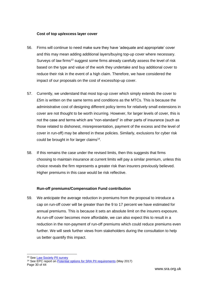#### **Cost of top up/excess layer cover**

- 56. Firms will continue to need make sure they have 'adequate and appropriate' cover and this may mean adding additional layers/buying top-up cover where necessary. Surveys of law firms<sup>13</sup> suggest some firms already carefully assess the level of risk based on the type and value of the work they undertake and buy additional cover to reduce their risk in the event of a high claim. Therefore, we have considered the impact of our proposals on the cost of excess/top-up cover.
- 57. Currently, we understand that most top-up cover which simply extends the cover to £5m is written on the same terms and conditions as the MTCs. This is because the administrative cost of designing different policy terms for relatively small extensions in cover are not thought to be worth incurring. However, for larger levels of cover, this is not the case and terms which are "non-standard" in other parts of insurance (such as those related to dishonest, misrepresentation, payment of the excess and the level of cover in run-off) may be altered in these policies. Similarly, exclusions for cyber risk could be brought in for larger claims<sup>14</sup>.
- 58. If this remains the case under the revised limits, then this suggests that firms choosing to maintain insurance at current limits will pay a similar premium, unless this choice reveals the firm represents a greater risk than insurers previously believed. Higher premiums in this case would be risk reflective.

#### **Run-off premiums/Compensation Fund contribution**

59. We anticipate the average reduction in premiums from the proposal to introduce a cap on run-off cover will be greater than the 9 to 17 percent we have estimated for annual premiums. This is because it sets an absolute limit on the insurers exposure. As run-off cover becomes more affordable, we can also expect this to result in a reduction in the non-payment of run-off premiums which could reduce premiums even further. We will seek further views from stakeholders during the consultation to help us better quantify this impact.

13 Se[e Law Society PII survey](http://www.lawsociety.org.uk/support-services/risk-compliance/pii/surveys/)

Page 30 of 44 <sup>14</sup> See EPC report on [Potential options for SRA PII requirements](https://www.sra.org.uk/sra/consultations/access-legal-services.page#download) (May 2017)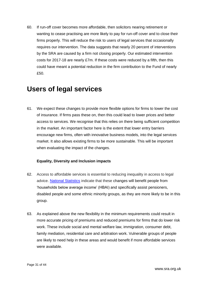60. If run-off cover becomes more affordable, then solicitors nearing retirement or wanting to cease practising are more likely to pay for run-off cover and to close their firms properly. This will reduce the risk to users of legal services that occasionally requires our intervention. The data suggests that nearly 20 percent of interventions by the SRA are caused by a firm not closing properly. Our estimated intervention costs for 2017-18 are nearly £7m. If these costs were reduced by a fifth, then this could have meant a potential reduction in the firm contribution to the Fund of nearly £50.

### <span id="page-30-0"></span>**Users of legal services**

61. We expect these changes to provide more flexible options for firms to lower the cost of insurance. If firms pass these on, then this could lead to lower prices and better access to services. We recognise that this relies on there being sufficient competition in the market. An important factor here is the extent that lower entry barriers encourage new firms, often with innovative business models, into the legal services market. It also allows existing firms to be more sustainable. This will be important when evaluating the impact of the changes.

#### **Equality, Diversity and Inclusion impacts**

- 62. Access to affordable services is essential to reducing inequality in access to legal advice. [National Statistics](https://www.gov.uk/government/statistics/households-below-average-income-199495-to-201516) indicate that these changes will benefit people from 'households below average income' (HBAI) and specifically assist pensioners, disabled people and some ethnic minority groups, as they are more likely to be in this group.
- 63. As explained above the new flexibility in the minimum requirements could result in more accurate pricing of premiums and reduced premiums for firms that do lower risk work. These include social and mental welfare law, immigration, consumer debt, family mediation, residential care and arbitration work. Vulnerable groups of people are likely to need help in these areas and would benefit if more affordable services were available.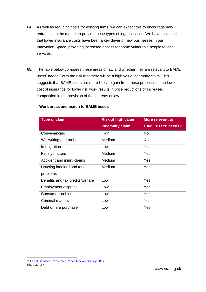- 64. As well as reducing costs for existing firms, we can expect this to encourage new entrants into the market to provide these types of legal services. We have evidence that lower insurance costs have been a key driver of new businesses in our Innovation Space, providing increased access for some vulnerable people to legal services.
- 65. The table below compares these areas of law and whether they are relevant to BAME users' needs<sup>15</sup> with the risk that there will be a high value indemnity claim. This suggests that BAME users are more likely to gain from these proposals if the lower cost of insurance for lower risk work results in price reductions or increased competition in the provision of these areas of law.

| <b>Type of claim</b>             | <b>Risk of high value</b> | <b>More relevant to</b>   |
|----------------------------------|---------------------------|---------------------------|
|                                  | indemnity claim           | <b>BAME</b> users' needs? |
| Conveyancing                     | High                      | <b>No</b>                 |
| Will writing and probate         | <b>Medium</b>             | <b>No</b>                 |
| Immigration                      | Low                       | Yes                       |
| <b>Family matters</b>            | Medium                    | Yes                       |
| Accident and injury claims       | <b>Medium</b>             | Yes                       |
| Housing landlord and tenant      | <b>Medium</b>             | Yes                       |
| problems                         |                           |                           |
| Benefits and tax credits/welfare | Low                       | Yes                       |
| <b>Employment disputes</b>       | Low                       | Yes                       |
| Consumer problems                | Low                       | Yes                       |
| <b>Criminal matters</b>          | Low                       | Yes                       |
| Debt or hire purchase            | Low                       | Yes                       |

#### **Work areas and match to BAME needs**

Page 32 of 44 -15 [Legal Services Consumer Panel Tracker Survey 2017](http://www.legalservicesconsumerpanel.org.uk/publications/research_and_reports/index.html)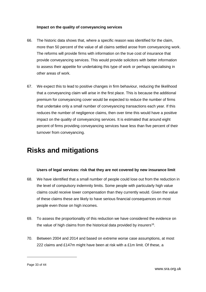#### **Impact on the quality of conveyancing services**

- 66. The historic data shows that, where a specific reason was identified for the claim, more than 50 percent of the value of all claims settled arose from conveyancing work. The reforms will provide firms with information on the true cost of insurance that provide conveyancing services. This would provide solicitors with better information to assess their appetite for undertaking this type of work or perhaps specialising in other areas of work.
- 67. We expect this to lead to positive changes in firm behaviour, reducing the likelihood that a conveyancing claim will arise in the first place. This is because the additional premium for conveyancing cover would be expected to reduce the number of firms that undertake only a small number of conveyancing transactions each year. If this reduces the number of negligence claims, then over time this would have a positive impact on the quality of conveyancing services. It is estimated that around eight percent of firms providing conveyancing services have less than five percent of their turnover from conveyancing.

## <span id="page-32-0"></span>**Risks and mitigations**

#### **Users of legal services: risk that they are not covered by new insurance limit**

- 68. We have identified that a small number of people could lose out from the reduction in the level of compulsory indemnity limits. Some people with particularly high value claims could receive lower compensation than they currently would. Given the value of these claims these are likely to have serious financial consequences on most people even those on high incomes.
- 69. To assess the proportionality of this reduction we have considered the evidence on the value of high claims from the historical data provided by insurers<sup>16</sup>.
- 70. Between 2004 and 2014 and based on extreme worse case assumptions, at most 222 claims and £147m might have been at risk with a £1m limit. Of these, a

-

Page 33 of 44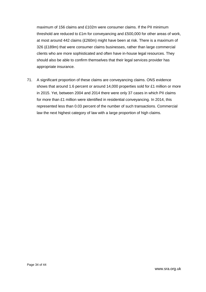maximum of 156 claims and £102m were consumer claims. If the PII minimum threshold are reduced to £1m for conveyancing and £500,000 for other areas of work, at most around 442 claims (£260m) might have been at risk. There is a maximum of 326 (£189m) that were consumer claims businesses, rather than large commercial clients who are more sophisticated and often have in-house legal resources. They should also be able to confirm themselves that their legal services provider has appropriate insurance.

71. A significant proportion of these claims are conveyancing claims. ONS evidence shows that around 1.6 percent or around 14,000 properties sold for £1 million or more in 2015. Yet, between 2004 and 2014 there were only 37 cases in which PII claims for more than £1 million were identified in residential conveyancing. In 2014, this represented less than 0.03 percent of the number of such transactions. Commercial law the next highest category of law with a large proportion of high claims.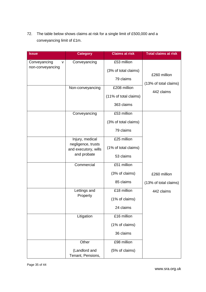72. The table below shows claims at risk for a single limit of £500,000 and a conveyancing limit of £1m.

| <b>Issue</b>                               | <b>Category</b>                                                              | <b>Claims at risk</b>                               | <b>Total claims at risk</b>           |
|--------------------------------------------|------------------------------------------------------------------------------|-----------------------------------------------------|---------------------------------------|
| Conveyancing<br>$\vee$<br>non-conveyancing | Conveyancing                                                                 | £53 million<br>(3% of total claims)<br>79 claims    | £260 million                          |
|                                            | Non-conveyancing                                                             | £208 million<br>(11% of total claims)<br>363 claims | (13% of total claims)<br>442 claims   |
|                                            | Conveyancing                                                                 | £53 million<br>(3% of total claims)<br>79 claims    |                                       |
|                                            | Injury, medical<br>negligence, trusts<br>and executory, wills<br>and probate | £25 million<br>(1% of total claims)<br>53 claims    |                                       |
|                                            | Commercial                                                                   | £51 million<br>(3% of claims)<br>85 claims          | £260 million<br>(13% of total claims) |
|                                            | Lettings and<br>Property                                                     | £18 million<br>(1% of claims)<br>24 claims          | 442 claims                            |
|                                            | Litigation                                                                   | £16 million<br>(1% of claims)<br>36 claims          |                                       |
|                                            | Other<br>(Landlord and<br>Tenant, Pensions,                                  | £98 million<br>(5% of claims)                       |                                       |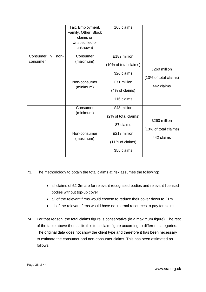|                       | Tax, Employment,<br>Family, Other, Block<br>claims or<br>Unspecified or<br>unknown) | 165 claims            |                                       |
|-----------------------|-------------------------------------------------------------------------------------|-----------------------|---------------------------------------|
| Consumer<br>non-<br>v | Consumer                                                                            | £189 million          |                                       |
| consumer              | (maximum)                                                                           | (10% of total claims) |                                       |
|                       |                                                                                     | 326 claims            | £260 million<br>(13% of total claims) |
|                       | Non-consumer                                                                        | £71 million           | 442 claims                            |
|                       | (minimum)                                                                           | (4% of claims)        |                                       |
|                       |                                                                                     | 116 claims            |                                       |
|                       | Consumer                                                                            | £48 million           |                                       |
|                       | (minimum)                                                                           | (2% of total claims)  | £260 million<br>(13% of total claims) |
|                       |                                                                                     | 87 claims             |                                       |
|                       | Non-consumer                                                                        | £212 million          | 442 claims                            |
|                       | (maximum)                                                                           | (11% of claims)       |                                       |
|                       |                                                                                     | 355 claims            |                                       |

#### 73. The methodology to obtain the total claims at risk assumes the following:

- all claims of £2-3m are for relevant recognised bodies and relevant licensed bodies without top-up cover
- all of the relevant firms would choose to reduce their cover down to £1m
- all of the relevant firms would have no internal resources to pay for claims.
- 74. For that reason, the total claims figure is conservative (ie a maximum figure). The rest of the table above then splits this total claim figure according to different categories. The original data does not show the client type and therefore it has been necessary to estimate the consumer and non-consumer claims. This has been estimated as follows: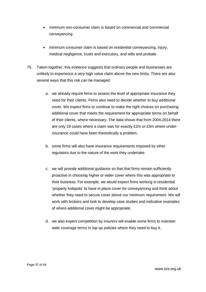- minimum non-consumer claim is based on commercial and commercial conveyancing
- minimum consumer claim is based on residential conveyancing, injury, medical negligence, trusts and executory, and wills and probate.
- 75. Taken together, this evidence suggests that ordinary people and businesses are unlikely to experience a very high value claim above the new limits. There are also several ways that this risk can be managed:
	- a. we already require firms to assess the level of appropriate insurance they need for their clients. Firms also need to decide whether to buy additional cover. We expect firms to continue to make the right choices on purchasing additional cover that meets the requirement for appropriate terms on behalf of their clients, where necessary. The data shows that from 2004-2014 there are only 19 cases where a claim was for exactly £2m or £3m where underinsurance could have been theoretically a problem.
	- b. some firms will also have insurance requirements imposed by other regulators due to the nature of the work they undertake
	- c. we will provide additional guidance so that that firms remain sufficiently proactive in choosing higher or wider cover where this was appropriate to their business. For example, we would expect firms working in residential 'property hotspots' to have in place cover for conveyancing and think about whether they need to secure cover above our minimum requirement. We will work with brokers and look to develop case studies and indicative examples of where additional cover might be appropriate.
	- d. we also expect competition by insurers will enable some firms to maintain wide coverage terms in top up policies where they need to buy it.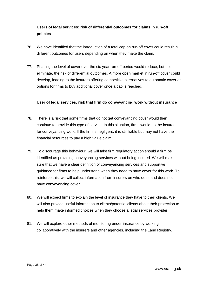#### **Users of legal services: risk of differential outcomes for claims in run-off policies**

- 76. We have identified that the introduction of a total cap on run-off cover could result in different outcomes for users depending on when they make the claim.
- 77. Phasing the level of cover over the six-year run-off period would reduce, but not eliminate, the risk of differential outcomes. A more open market in run-off cover could develop, leading to the insurers offering competitive alternatives to automatic cover or options for firms to buy additional cover once a cap is reached.

#### **User of legal services: risk that firm do conveyancing work without insurance**

- 78. There is a risk that some firms that do not get conveyancing cover would then continue to provide this type of service. In this situation, firms would not be insured for conveyancing work. If the firm is negligent, it is still liable but may not have the financial resources to pay a high value claim.
- 79. To discourage this behaviour, we will take firm regulatory action should a firm be identified as providing conveyancing services without being insured. We will make sure that we have a clear definition of conveyancing services and supportive guidance for firms to help understand when they need to have cover for this work. To reinforce this, we will collect information from insurers on who does and does not have conveyancing cover.
- 80. We will expect firms to explain the level of insurance they have to their clients. We will also provide useful information to clients/potential clients about their protection to help them make informed choices when they choose a legal services provider.
- 81. We will explore other methods of monitoring under-insurance by working collaboratively with the insurers and other agencies, including the Land Registry.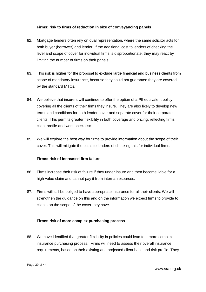#### **Firms: risk to firms of reduction in size of conveyancing panels**

- 82. Mortgage lenders often rely on dual representation, where the same solicitor acts for both buyer (borrower) and lender. If the additional cost to lenders of checking the level and scope of cover for individual firms is disproportionate, they may react by limiting the number of firms on their panels.
- 83. This risk is higher for the proposal to exclude large financial and business clients from scope of mandatory insurance, because they could not guarantee they are covered by the standard MTCs.
- 84. We believe that insurers will continue to offer the option of a PII equivalent policy covering all the clients of their firms they insure. They are also likely to develop new terms and conditions for both lender cover and separate cover for their corporate clients. This permits greater flexibility in both coverage and pricing, reflecting firms' client profile and work specialism.
- 85. We will explore the best way for firms to provide information about the scope of their cover. This will mitigate the costs to lenders of checking this for individual firms.

#### **Firms: risk of increased firm failure**

- 86. Firms increase their risk of failure if they under insure and then become liable for a high value claim and cannot pay it from internal resources.
- 87. Firms will still be obliged to have appropriate insurance for all their clients. We will strengthen the guidance on this and on the information we expect firms to provide to clients on the scope of the cover they have.

#### **Firms: risk of more complex purchasing process**

88. We have identified that greater flexibility in policies could lead to a more complex insurance purchasing process. Firms will need to assess their overall insurance requirements, based on their existing and projected client base and risk profile. They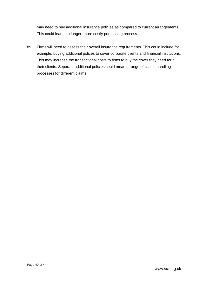may need to buy additional insurance policies as compared to current arrangements. This could lead to a longer, more costly purchasing process.

89. Firms will need to assess their overall insurance requirements. This could include for example, buying additional polices to cover corporate clients and financial institutions. This may increase the transactional costs to firms to buy the cover they need for all their clients. Separate additional policies could mean a range of claims handling processes for different claims.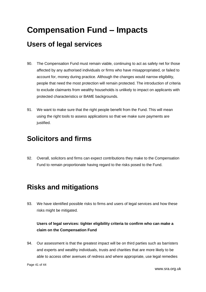# <span id="page-40-0"></span>**Compensation Fund – Impacts**

## <span id="page-40-1"></span>**Users of legal services**

- 90. The Compensation Fund must remain viable, continuing to act as safety net for those affected by any authorised individuals or firms who have misappropriated, or failed to account for, money during practice. Although the changes would narrow eligibility, people that need the most protection will remain protected. The introduction of criteria to exclude claimants from wealthy households is unlikely to impact on applicants with protected characteristics or BAME backgrounds.
- 91. We want to make sure that the right people benefit from the Fund. This will mean using the right tools to assess applications so that we make sure payments are justified.

## <span id="page-40-2"></span>**Solicitors and firms**

92. Overall, solicitors and firms can expect contributions they make to the Compensation Fund to remain proportionate having regard to the risks posed to the Fund.

# <span id="page-40-3"></span>**Risks and mitigations**

93. We have identified possible risks to firms and users of legal services and how these risks might be mitigated.

#### **Users of legal services: tighter eligibility criteria to confirm who can make a claim on the Compensation Fund**

94. Our assessment is that the greatest impact will be on third parties such as barristers and experts and wealthy individuals, trusts and charities that are more likely to be able to access other avenues of redress and where appropriate, use legal remedies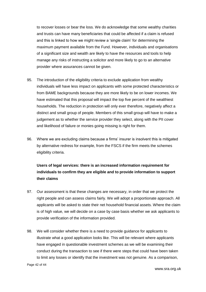to recover losses or bear the loss. We do acknowledge that some wealthy charities and trusts can have many beneficiaries that could be affected if a claim is refused and this is linked to how we might review a 'single claim' for determining the maximum payment available from the Fund. However, individuals and organisations of a significant size and wealth are likely to have the resources and tools to help manage any risks of instructing a solicitor and more likely to go to an alternative provider where assurances cannot be given.

- 95. The introduction of the eligibility criteria to exclude application from wealthy individuals will have less impact on applicants with some protected characteristics or from BAME backgrounds because they are more likely to be on lower incomes. We have estimated that this proposal will impact the top five percent of the wealthiest households. The reduction in protection will only ever therefore, negatively affect a distinct and small group of people. Members of this small group will have to make a judgement as to whether the service provider they select, along with the PII cover and likelihood of failure or monies going missing is right for them.
- 96. Where we are excluding claims because a firms' insurer is insolvent this is mitigated by alternative redress for example, from the FSCS if the firm meets the schemes eligibility criteria.

#### **Users of legal services: there is an increased information requirement for individuals to confirm they are eligible and to provide information to support their claims**

- 97. Our assessment is that these changes are necessary, in order that we protect the right people and can assess claims fairly. We will adopt a proportionate approach. All applicants will be asked to state their net household financial assets. Where the claim is of high value, we will decide on a case by case basis whether we ask applicants to provide verification of the information provided.
- 98. We will consider whether there is a need to provide guidance for applicants to illustrate what a good application looks like. This will be relevant where applicants have engaged in questionable investment schemes as we will be examining their conduct during the transaction to see if there were steps that could have been taken to limit any losses or identify that the investment was not genuine. As a comparison,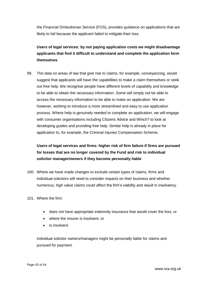the Financial Ombudsman Service (FOS), provides guidance on applications that are likely to fail because the applicant failed to mitigate their loss.

**Users of legal services: by not paying application costs we might disadvantage applicants that find it difficult to understand and complete the application form themselves**

99. The data on areas of law that give rise to claims, for example, conveyancing, would suggest that applicants will have the capabilities to make a claim themselves or seek out free help. We recognise people have different levels of capability and knowledge to be able to obtain the necessary information. Some will simply not be able to access the necessary information to be able to make an application. We are however, working to introduce a more streamlined and easy to use application process. Where help is genuinely needed to complete an application, we will engage with consumer organisations including Citizens Advice and Which? to look at developing guides and providing free help. Similar help is already in place for application to, for example, the Criminal Injuries Compensation Scheme.

#### **Users of legal services and firms: higher risk of firm failure if firms are pursued for losses that are no longer covered by the Fund and risk to individual solicitor manager/owners if they become personally liable**

- 100. Where we have made changes to exclude certain types of claims, firms and individual solicitors will need to consider impacts on their business and whether numerous, high value claims could affect the firm's viability and result in insolvency.
- 101. Where the firm:
	- does not have appropriate indemnity insurance that would cover the loss, or
	- where the insurer is insolvent, or
	- is insolvent.

individual solicitor owners/managers might be personally liable for claims and pursued for payment.